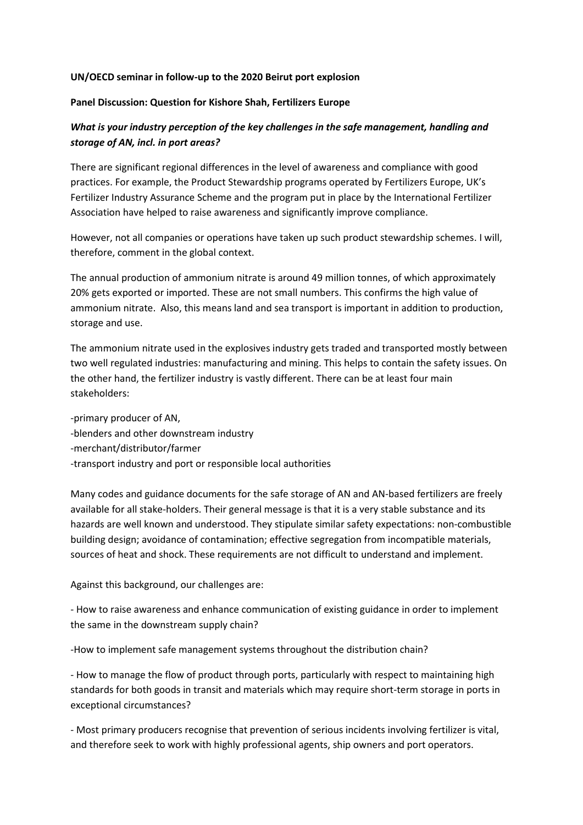## **UN/OECD seminar in follow-up to the 2020 Beirut port explosion**

## **Panel Discussion: Question for Kishore Shah, Fertilizers Europe**

## *What is your industry perception of the key challenges in the safe management, handling and storage of AN, incl. in port areas?*

There are significant regional differences in the level of awareness and compliance with good practices. For example, the Product Stewardship programs operated by Fertilizers Europe, UK's Fertilizer Industry Assurance Scheme and the program put in place by the International Fertilizer Association have helped to raise awareness and significantly improve compliance.

However, not all companies or operations have taken up such product stewardship schemes. I will, therefore, comment in the global context.

The annual production of ammonium nitrate is around 49 million tonnes, of which approximately 20% gets exported or imported. These are not small numbers. This confirms the high value of ammonium nitrate. Also, this means land and sea transport is important in addition to production, storage and use.

The ammonium nitrate used in the explosives industry gets traded and transported mostly between two well regulated industries: manufacturing and mining. This helps to contain the safety issues. On the other hand, the fertilizer industry is vastly different. There can be at least four main stakeholders:

-primary producer of AN, -blenders and other downstream industry -merchant/distributor/farmer -transport industry and port or responsible local authorities

Many codes and guidance documents for the safe storage of AN and AN-based fertilizers are freely available for all stake-holders. Their general message is that it is a very stable substance and its hazards are well known and understood. They stipulate similar safety expectations: non-combustible building design; avoidance of contamination; effective segregation from incompatible materials, sources of heat and shock. These requirements are not difficult to understand and implement.

Against this background, our challenges are:

- How to raise awareness and enhance communication of existing guidance in order to implement the same in the downstream supply chain?

-How to implement safe management systems throughout the distribution chain?

- How to manage the flow of product through ports, particularly with respect to maintaining high standards for both goods in transit and materials which may require short-term storage in ports in exceptional circumstances?

- Most primary producers recognise that prevention of serious incidents involving fertilizer is vital, and therefore seek to work with highly professional agents, ship owners and port operators.